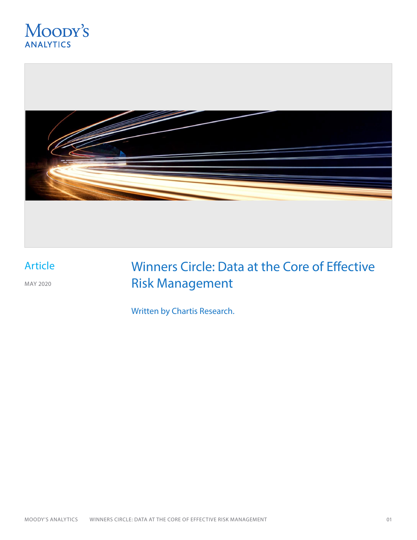



## Article

MAY 2020

## Winners Circle: Data at the Core of Effective Risk Management

Written by Chartis Research.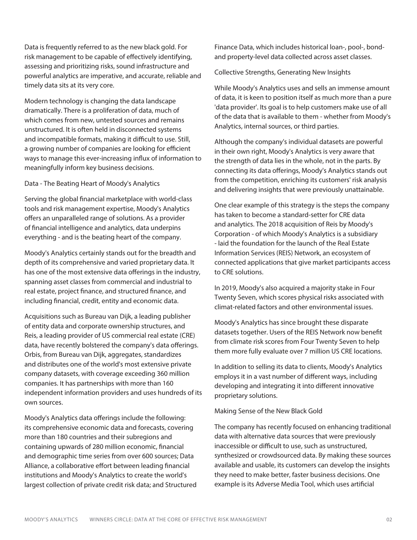Data is frequently referred to as the new black gold. For risk management to be capable of effectively identifying, assessing and prioritizing risks, sound infrastructure and powerful analytics are imperative, and accurate, reliable and timely data sits at its very core.

Modern technology is changing the data landscape dramatically. There is a proliferation of data, much of which comes from new, untested sources and remains unstructured. It is often held in disconnected systems and incompatible formats, making it difficult to use. Still, a growing number of companies are looking for efficient ways to manage this ever-increasing influx of information to meaningfully inform key business decisions.

Data - The Beating Heart of Moody's Analytics

Serving the global financial marketplace with world-class tools and risk management expertise, Moody's Analytics offers an unparalleled range of solutions. As a provider of financial intelligence and analytics, data underpins everything - and is the beating heart of the company.

Moody's Analytics certainly stands out for the breadth and depth of its comprehensive and varied proprietary data. It has one of the most extensive data offerings in the industry, spanning asset classes from commercial and industrial to real estate, project finance, and structured finance, and including financial, credit, entity and economic data.

Acquisitions such as Bureau van Dijk, a leading publisher of entity data and corporate ownership structures, and Reis, a leading provider of US commercial real estate (CRE) data, have recently bolstered the company's data offerings. Orbis, from Bureau van Dijk, aggregates, standardizes and distributes one of the world's most extensive private company datasets, with coverage exceeding 360 million companies. It has partnerships with more than 160 independent information providers and uses hundreds of its own sources.

Moody's Analytics data offerings include the following: its comprehensive economic data and forecasts, covering more than 180 countries and their subregions and containing upwards of 280 million economic, financial and demographic time series from over 600 sources; Data Alliance, a collaborative effort between leading financial institutions and Moody's Analytics to create the world's largest collection of private credit risk data; and Structured Finance Data, which includes historical loan-, pool-, bondand property-level data collected across asset classes.

Collective Strengths, Generating New Insights

While Moody's Analytics uses and sells an immense amount of data, it is keen to position itself as much more than a pure 'data provider'. Its goal is to help customers make use of all of the data that is available to them - whether from Moody's Analytics, internal sources, or third parties.

Although the company's individual datasets are powerful in their own right, Moody's Analytics is very aware that the strength of data lies in the whole, not in the parts. By connecting its data offerings, Moody's Analytics stands out from the competition, enriching its customers' risk analysis and delivering insights that were previously unattainable.

One clear example of this strategy is the steps the company has taken to become a standard-setter for CRE data and analytics. The 2018 acquisition of Reis by Moody's Corporation - of which Moody's Analytics is a subsidiary - laid the foundation for the launch of the Real Estate Information Services (REIS) Network, an ecosystem of connected applications that give market participants access to CRE solutions.

In 2019, Moody's also acquired a majority stake in Four Twenty Seven, which scores physical risks associated with climat-related factors and other environmental issues.

Moody's Analytics has since brought these disparate datasets together. Users of the REIS Network now benefit from climate risk scores from Four Twenty Seven to help them more fully evaluate over 7 million US CRE locations.

In addition to selling its data to clients, Moody's Analytics employs it in a vast number of different ways, including developing and integrating it into different innovative proprietary solutions.

Making Sense of the New Black Gold

The company has recently focused on enhancing traditional data with alternative data sources that were previously inaccessible or difficult to use, such as unstructured, synthesized or crowdsourced data. By making these sources available and usable, its customers can develop the insights they need to make better, faster business decisions. One example is its Adverse Media Tool, which uses artificial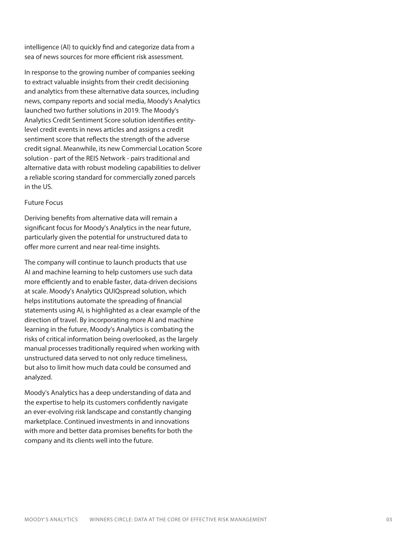intelligence (AI) to quickly find and categorize data from a sea of news sources for more efficient risk assessment.

In response to the growing number of companies seeking to extract valuable insights from their credit decisioning and analytics from these alternative data sources, including news, company reports and social media, Moody's Analytics launched two further solutions in 2019. The Moody's Analytics Credit Sentiment Score solution identifies entitylevel credit events in news articles and assigns a credit sentiment score that reflects the strength of the adverse credit signal. Meanwhile, its new Commercial Location Score solution - part of the REIS Network - pairs traditional and alternative data with robust modeling capabilities to deliver a reliable scoring standard for commercially zoned parcels in the US.

## Future Focus

Deriving benefits from alternative data will remain a significant focus for Moody's Analytics in the near future, particularly given the potential for unstructured data to offer more current and near real-time insights.

The company will continue to launch products that use AI and machine learning to help customers use such data more efficiently and to enable faster, data-driven decisions at scale. Moody's Analytics QUIQspread solution, which helps institutions automate the spreading of financial statements using AI, is highlighted as a clear example of the direction of travel. By incorporating more AI and machine learning in the future, Moody's Analytics is combating the risks of critical information being overlooked, as the largely manual processes traditionally required when working with unstructured data served to not only reduce timeliness, but also to limit how much data could be consumed and analyzed.

Moody's Analytics has a deep understanding of data and the expertise to help its customers confidently navigate an ever-evolving risk landscape and constantly changing marketplace. Continued investments in and innovations with more and better data promises benefits for both the company and its clients well into the future.